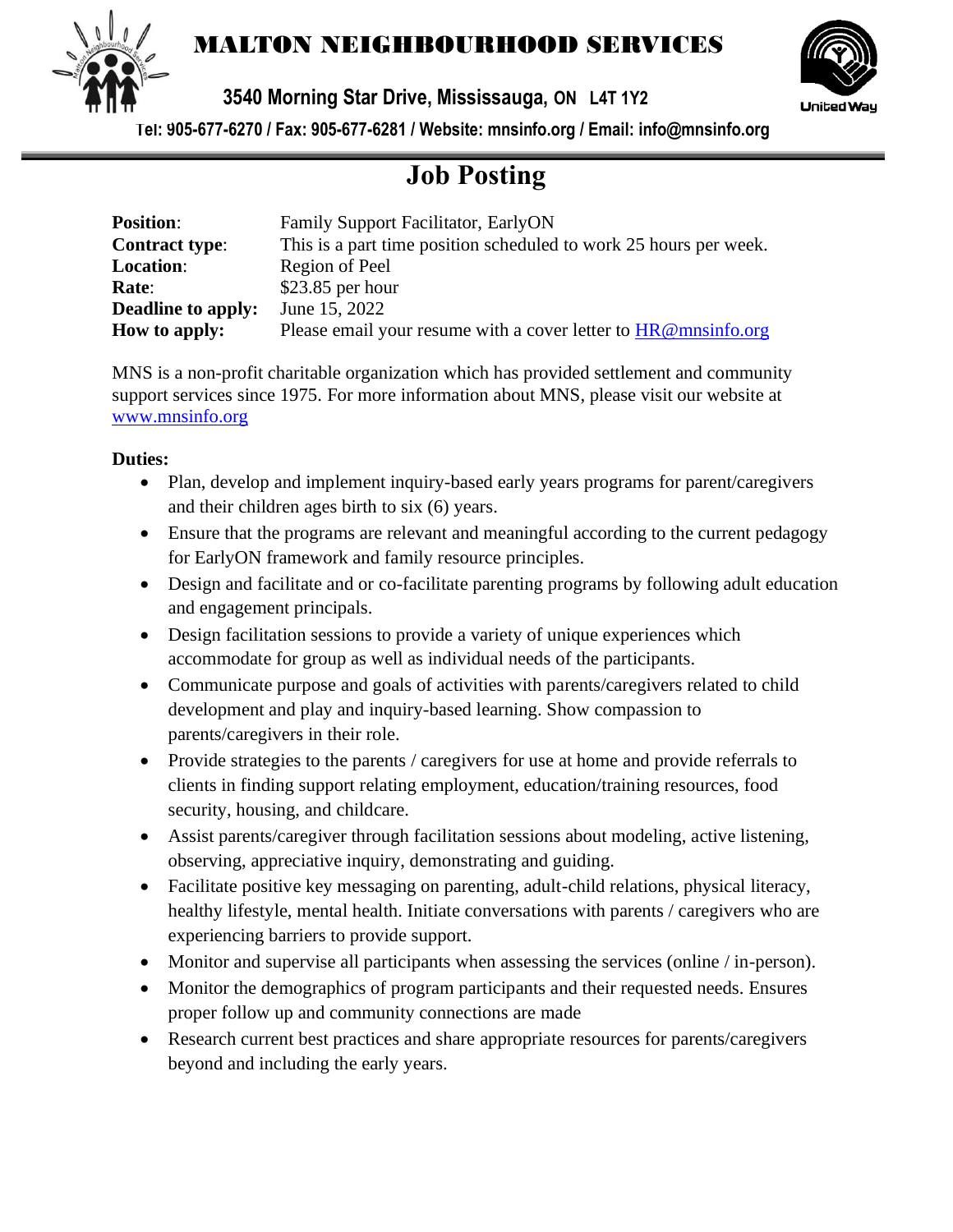

## MALTON NEIGHBOURHOOD SERVICES



**3540 Morning Star Drive, Mississauga, ON L4T 1Y2** 

**Tel: 905-677-6270 / Fax: 905-677-6281 / Website: mnsinfo.org / Email: info@mnsinfo.org**

## **Job Posting**

| <b>Position:</b>          | Family Support Facilitator, EarlyON                               |
|---------------------------|-------------------------------------------------------------------|
| <b>Contract type:</b>     | This is a part time position scheduled to work 25 hours per week. |
| <b>Location:</b>          | Region of Peel                                                    |
| Rate:                     | $$23.85$ per hour                                                 |
| <b>Deadline to apply:</b> | June 15, 2022                                                     |
| How to apply:             | Please email your resume with a cover letter to HR@mnsinfo.org    |

MNS is a non-profit charitable organization which has provided settlement and community support services since 1975. For more information about MNS, please visit our website at [www.mnsinfo.org](http://www.mnsinfo.org/)

## **Duties:**

- Plan, develop and implement inquiry-based early years programs for parent/caregivers and their children ages birth to six (6) years.
- Ensure that the programs are relevant and meaningful according to the current pedagogy for EarlyON framework and family resource principles.
- Design and facilitate and or co-facilitate parenting programs by following adult education and engagement principals.
- Design facilitation sessions to provide a variety of unique experiences which accommodate for group as well as individual needs of the participants.
- Communicate purpose and goals of activities with parents/caregivers related to child development and play and inquiry-based learning. Show compassion to parents/caregivers in their role.
- Provide strategies to the parents / caregivers for use at home and provide referrals to clients in finding support relating employment, education/training resources, food security, housing, and childcare.
- Assist parents/caregiver through facilitation sessions about modeling, active listening, observing, appreciative inquiry, demonstrating and guiding.
- Facilitate positive key messaging on parenting, adult-child relations, physical literacy, healthy lifestyle, mental health. Initiate conversations with parents / caregivers who are experiencing barriers to provide support.
- Monitor and supervise all participants when assessing the services (online / in-person).
- Monitor the demographics of program participants and their requested needs. Ensures proper follow up and community connections are made
- Research current best practices and share appropriate resources for parents/caregivers beyond and including the early years.